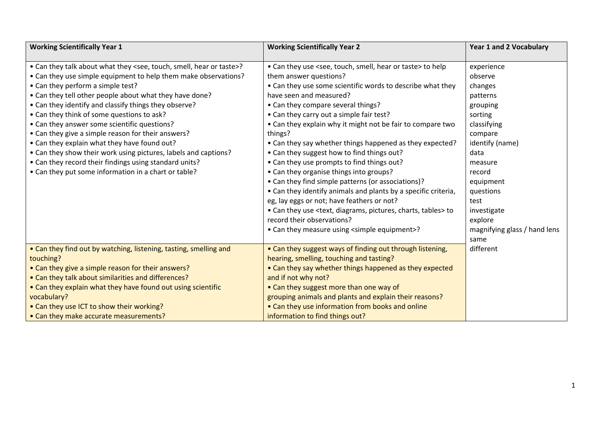| <b>Working Scientifically Year 1</b>                                                      | <b>Working Scientifically Year 2</b>                                             | <b>Year 1 and 2 Vocabulary</b> |
|-------------------------------------------------------------------------------------------|----------------------------------------------------------------------------------|--------------------------------|
|                                                                                           |                                                                                  |                                |
| • Can they talk about what they <see, hear="" or="" smell,="" taste="" touch,="">?</see,> | • Can they use <see, hear="" or="" smell,="" taste="" touch,=""> to help</see,>  | experience                     |
| • Can they use simple equipment to help them make observations?                           | them answer questions?                                                           | observe                        |
| • Can they perform a simple test?                                                         | • Can they use some scientific words to describe what they                       | changes                        |
| • Can they tell other people about what they have done?                                   | have seen and measured?                                                          | patterns                       |
| • Can they identify and classify things they observe?                                     | • Can they compare several things?                                               | grouping                       |
| • Can they think of some questions to ask?                                                | • Can they carry out a simple fair test?                                         | sorting                        |
| • Can they answer some scientific questions?                                              | • Can they explain why it might not be fair to compare two                       | classifying                    |
| • Can they give a simple reason for their answers?                                        | things?                                                                          | compare                        |
| • Can they explain what they have found out?                                              | • Can they say whether things happened as they expected?                         | identify (name)                |
| • Can they show their work using pictures, labels and captions?                           | • Can they suggest how to find things out?                                       | data                           |
| • Can they record their findings using standard units?                                    | • Can they use prompts to find things out?                                       | measure                        |
| • Can they put some information in a chart or table?                                      | • Can they organise things into groups?                                          | record                         |
|                                                                                           | • Can they find simple patterns (or associations)?                               | equipment                      |
|                                                                                           | • Can they identify animals and plants by a specific criteria,                   | questions                      |
|                                                                                           | eg, lay eggs or not; have feathers or not?                                       | test                           |
|                                                                                           | • Can they use <text, charts,="" diagrams,="" pictures,="" tables=""> to</text,> | investigate                    |
|                                                                                           | record their observations?                                                       | explore                        |
|                                                                                           | • Can they measure using <simple equipment="">?</simple>                         | magnifying glass / hand lens   |
|                                                                                           |                                                                                  | same                           |
| • Can they find out by watching, listening, tasting, smelling and                         | • Can they suggest ways of finding out through listening,                        | different                      |
| touching?                                                                                 | hearing, smelling, touching and tasting?                                         |                                |
| • Can they give a simple reason for their answers?                                        | • Can they say whether things happened as they expected                          |                                |
| • Can they talk about similarities and differences?                                       | and if not why not?                                                              |                                |
| • Can they explain what they have found out using scientific                              | • Can they suggest more than one way of                                          |                                |
| vocabulary?                                                                               | grouping animals and plants and explain their reasons?                           |                                |
| • Can they use ICT to show their working?                                                 | • Can they use information from books and online                                 |                                |
| • Can they make accurate measurements?                                                    | information to find things out?                                                  |                                |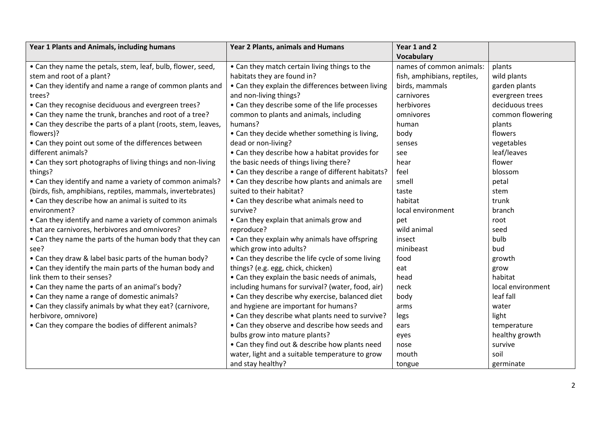| Year 1 Plants and Animals, including humans                    | <b>Year 2 Plants, animals and Humans</b>           | Year 1 and 2                |                   |
|----------------------------------------------------------------|----------------------------------------------------|-----------------------------|-------------------|
|                                                                |                                                    | <b>Vocabulary</b>           |                   |
| • Can they name the petals, stem, leaf, bulb, flower, seed,    | • Can they match certain living things to the      | names of common animals:    | plants            |
| stem and root of a plant?                                      | habitats they are found in?                        | fish, amphibians, reptiles, | wild plants       |
| • Can they identify and name a range of common plants and      | • Can they explain the differences between living  | birds, mammals              | garden plants     |
| trees?                                                         | and non-living things?                             | carnivores                  | evergreen trees   |
| • Can they recognise deciduous and evergreen trees?            | • Can they describe some of the life processes     | herbivores                  | deciduous trees   |
| • Can they name the trunk, branches and root of a tree?        | common to plants and animals, including            | omnivores                   | common flowering  |
| • Can they describe the parts of a plant (roots, stem, leaves, | humans?                                            | human                       | plants            |
| flowers)?                                                      | • Can they decide whether something is living,     | body                        | flowers           |
| • Can they point out some of the differences between           | dead or non-living?                                | senses                      | vegetables        |
| different animals?                                             | • Can they describe how a habitat provides for     | see                         | leaf/leaves       |
| • Can they sort photographs of living things and non-living    | the basic needs of things living there?            | hear                        | flower            |
| things?                                                        | • Can they describe a range of different habitats? | feel                        | blossom           |
| • Can they identify and name a variety of common animals?      | • Can they describe how plants and animals are     | smell                       | petal             |
| (birds, fish, amphibians, reptiles, mammals, invertebrates)    | suited to their habitat?                           | taste                       | stem              |
| • Can they describe how an animal is suited to its             | • Can they describe what animals need to           | habitat                     | trunk             |
| environment?                                                   | survive?                                           | local environment           | branch            |
| • Can they identify and name a variety of common animals       | • Can they explain that animals grow and           | pet                         | root              |
| that are carnivores, herbivores and omnivores?                 | reproduce?                                         | wild animal                 | seed              |
| • Can they name the parts of the human body that they can      | • Can they explain why animals have offspring      | insect                      | bulb              |
| see?                                                           | which grow into adults?                            | minibeast                   | bud               |
| • Can they draw & label basic parts of the human body?         | • Can they describe the life cycle of some living  | food                        | growth            |
| • Can they identify the main parts of the human body and       | things? (e.g. egg, chick, chicken)                 | eat                         | grow              |
| link them to their senses?                                     | • Can they explain the basic needs of animals,     | head                        | habitat           |
| • Can they name the parts of an animal's body?                 | including humans for survival? (water, food, air)  | neck                        | local environment |
| • Can they name a range of domestic animals?                   | • Can they describe why exercise, balanced diet    | body                        | leaf fall         |
| • Can they classify animals by what they eat? (carnivore,      | and hygiene are important for humans?              | arms                        | water             |
| herbivore, omnivore)                                           | • Can they describe what plants need to survive?   | legs                        | light             |
| • Can they compare the bodies of different animals?            | • Can they observe and describe how seeds and      | ears                        | temperature       |
|                                                                | bulbs grow into mature plants?                     | eyes                        | healthy growth    |
|                                                                | • Can they find out & describe how plants need     | nose                        | survive           |
|                                                                | water, light and a suitable temperature to grow    | mouth                       | soil              |
|                                                                | and stay healthy?                                  | tongue                      | germinate         |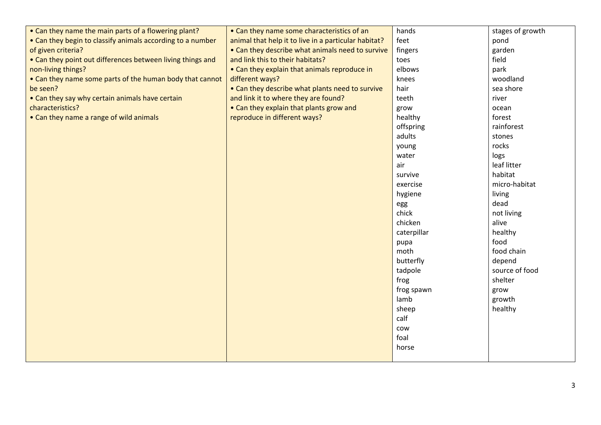| • Can they name the main parts of a flowering plant?       | • Can they name some characteristics of an           | hands       | stages of growth |
|------------------------------------------------------------|------------------------------------------------------|-------------|------------------|
| • Can they begin to classify animals according to a number | animal that help it to live in a particular habitat? | feet        | pond             |
| of given criteria?                                         | • Can they describe what animals need to survive     | fingers     | garden           |
| • Can they point out differences between living things and | and link this to their habitats?                     | toes        | field            |
| non-living things?                                         | • Can they explain that animals reproduce in         | elbows      | park             |
| • Can they name some parts of the human body that cannot   | different ways?                                      | knees       | woodland         |
| be seen?                                                   | • Can they describe what plants need to survive      | hair        | sea shore        |
| • Can they say why certain animals have certain            | and link it to where they are found?                 | teeth       | river            |
| characteristics?                                           | • Can they explain that plants grow and              | grow        | ocean            |
| • Can they name a range of wild animals                    | reproduce in different ways?                         | healthy     | forest           |
|                                                            |                                                      | offspring   | rainforest       |
|                                                            |                                                      | adults      | stones           |
|                                                            |                                                      | young       | rocks            |
|                                                            |                                                      | water       | logs             |
|                                                            |                                                      | air         | leaf litter      |
|                                                            |                                                      | survive     | habitat          |
|                                                            |                                                      | exercise    | micro-habitat    |
|                                                            |                                                      | hygiene     | living           |
|                                                            |                                                      | egg         | dead             |
|                                                            |                                                      | chick       | not living       |
|                                                            |                                                      | chicken     | alive            |
|                                                            |                                                      | caterpillar | healthy          |
|                                                            |                                                      | pupa        | food             |
|                                                            |                                                      | moth        | food chain       |
|                                                            |                                                      | butterfly   | depend           |
|                                                            |                                                      | tadpole     | source of food   |
|                                                            |                                                      | frog        | shelter          |
|                                                            |                                                      | frog spawn  | grow             |
|                                                            |                                                      | lamb        | growth           |
|                                                            |                                                      | sheep       | healthy          |
|                                                            |                                                      | calf        |                  |
|                                                            |                                                      | cow         |                  |
|                                                            |                                                      | foal        |                  |
|                                                            |                                                      | horse       |                  |
|                                                            |                                                      |             |                  |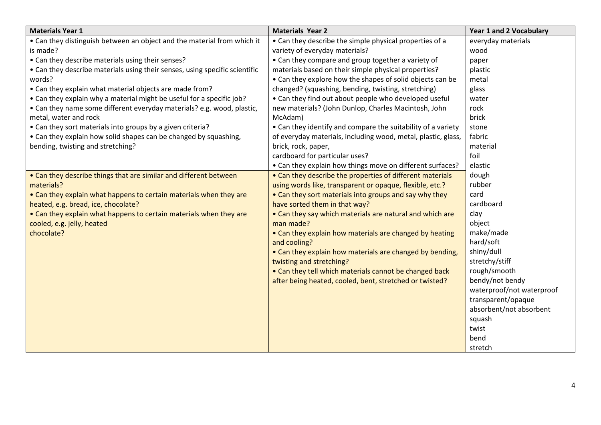| <b>Materials Year 1</b>                                                     | <b>Materials Year 2</b>                                       | <b>Year 1 and 2 Vocabulary</b> |
|-----------------------------------------------------------------------------|---------------------------------------------------------------|--------------------------------|
| • Can they distinguish between an object and the material from which it     | • Can they describe the simple physical properties of a       | everyday materials             |
| is made?                                                                    | variety of everyday materials?                                | wood                           |
| • Can they describe materials using their senses?                           | • Can they compare and group together a variety of            | paper                          |
| • Can they describe materials using their senses, using specific scientific | materials based on their simple physical properties?          | plastic                        |
| words?                                                                      | • Can they explore how the shapes of solid objects can be     | metal                          |
| • Can they explain what material objects are made from?                     | changed? (squashing, bending, twisting, stretching)           | glass                          |
| • Can they explain why a material might be useful for a specific job?       | • Can they find out about people who developed useful         | water                          |
| • Can they name some different everyday materials? e.g. wood, plastic,      | new materials? (John Dunlop, Charles Macintosh, John          | rock                           |
| metal, water and rock                                                       | McAdam)                                                       | brick                          |
| • Can they sort materials into groups by a given criteria?                  | • Can they identify and compare the suitability of a variety  | stone                          |
| • Can they explain how solid shapes can be changed by squashing,            | of everyday materials, including wood, metal, plastic, glass, | fabric                         |
| bending, twisting and stretching?                                           | brick, rock, paper,                                           | material                       |
|                                                                             | cardboard for particular uses?                                | foil                           |
|                                                                             | • Can they explain how things move on different surfaces?     | elastic                        |
| • Can they describe things that are similar and different between           | • Can they describe the properties of different materials     | dough                          |
| materials?                                                                  | using words like, transparent or opaque, flexible, etc.?      | rubber                         |
| • Can they explain what happens to certain materials when they are          | • Can they sort materials into groups and say why they        | card                           |
| heated, e.g. bread, ice, chocolate?                                         | have sorted them in that way?                                 | cardboard                      |
| • Can they explain what happens to certain materials when they are          | • Can they say which materials are natural and which are      | clay                           |
| cooled, e.g. jelly, heated                                                  | man made?                                                     | object                         |
| chocolate?                                                                  | • Can they explain how materials are changed by heating       | make/made                      |
|                                                                             | and cooling?                                                  | hard/soft                      |
|                                                                             | • Can they explain how materials are changed by bending,      | shiny/dull                     |
|                                                                             | twisting and stretching?                                      | stretchy/stiff                 |
|                                                                             | • Can they tell which materials cannot be changed back        | rough/smooth                   |
|                                                                             | after being heated, cooled, bent, stretched or twisted?       | bendy/not bendy                |
|                                                                             |                                                               | waterproof/not waterproof      |
|                                                                             |                                                               | transparent/opaque             |
|                                                                             |                                                               | absorbent/not absorbent        |
|                                                                             |                                                               | squash                         |
|                                                                             |                                                               | twist                          |
|                                                                             |                                                               | bend                           |
|                                                                             |                                                               | stretch                        |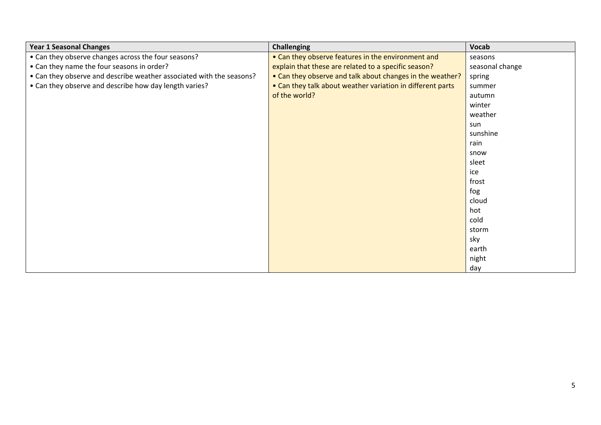| <b>Year 1 Seasonal Changes</b>                                       | <b>Challenging</b>                                         | Vocab           |
|----------------------------------------------------------------------|------------------------------------------------------------|-----------------|
| • Can they observe changes across the four seasons?                  | • Can they observe features in the environment and         | seasons         |
| • Can they name the four seasons in order?                           | explain that these are related to a specific season?       | seasonal change |
| • Can they observe and describe weather associated with the seasons? | • Can they observe and talk about changes in the weather?  | spring          |
| • Can they observe and describe how day length varies?               | • Can they talk about weather variation in different parts | summer          |
|                                                                      | of the world?                                              | autumn          |
|                                                                      |                                                            | winter          |
|                                                                      |                                                            | weather         |
|                                                                      |                                                            | sun             |
|                                                                      |                                                            | sunshine        |
|                                                                      |                                                            | rain            |
|                                                                      |                                                            | snow            |
|                                                                      |                                                            | sleet           |
|                                                                      |                                                            | ice             |
|                                                                      |                                                            | frost           |
|                                                                      |                                                            | fog             |
|                                                                      |                                                            | cloud           |
|                                                                      |                                                            | hot             |
|                                                                      |                                                            | cold            |
|                                                                      |                                                            | storm           |
|                                                                      |                                                            | sky             |
|                                                                      |                                                            | earth           |
|                                                                      |                                                            | night           |
|                                                                      |                                                            | day             |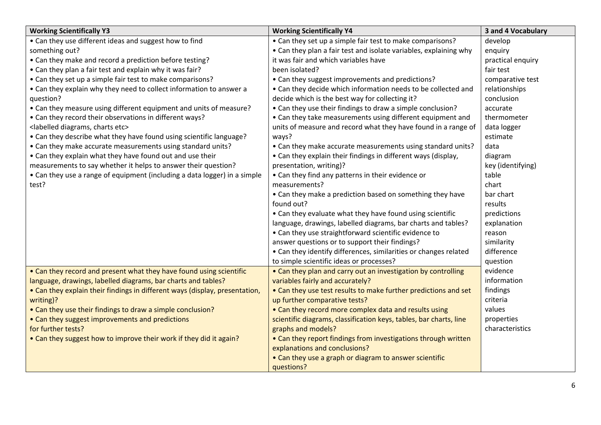| <b>Working Scientifically Y3</b>                                            | <b>Working Scientifically Y4</b>                                   | 3 and 4 Vocabulary |
|-----------------------------------------------------------------------------|--------------------------------------------------------------------|--------------------|
| • Can they use different ideas and suggest how to find                      | • Can they set up a simple fair test to make comparisons?          | develop            |
| something out?                                                              | • Can they plan a fair test and isolate variables, explaining why  | enquiry            |
| • Can they make and record a prediction before testing?                     | it was fair and which variables have                               | practical enquiry  |
| • Can they plan a fair test and explain why it was fair?                    | been isolated?                                                     | fair test          |
| • Can they set up a simple fair test to make comparisons?                   | • Can they suggest improvements and predictions?                   | comparative test   |
| • Can they explain why they need to collect information to answer a         | • Can they decide which information needs to be collected and      | relationships      |
| question?                                                                   | decide which is the best way for collecting it?                    | conclusion         |
| • Can they measure using different equipment and units of measure?          | • Can they use their findings to draw a simple conclusion?         | accurate           |
| • Can they record their observations in different ways?                     | • Can they take measurements using different equipment and         | thermometer        |
| <labelled charts="" diagrams,="" etc=""></labelled>                         | units of measure and record what they have found in a range of     | data logger        |
| • Can they describe what they have found using scientific language?         | ways?                                                              | estimate           |
| • Can they make accurate measurements using standard units?                 | • Can they make accurate measurements using standard units?        | data               |
| • Can they explain what they have found out and use their                   | • Can they explain their findings in different ways (display,      | diagram            |
| measurements to say whether it helps to answer their question?              | presentation, writing)?                                            | key (identifying)  |
| • Can they use a range of equipment (including a data logger) in a simple   | • Can they find any patterns in their evidence or                  | table              |
| test?                                                                       | measurements?                                                      | chart              |
|                                                                             | • Can they make a prediction based on something they have          | bar chart          |
|                                                                             | found out?                                                         | results            |
|                                                                             | • Can they evaluate what they have found using scientific          | predictions        |
|                                                                             | language, drawings, labelled diagrams, bar charts and tables?      | explanation        |
|                                                                             | • Can they use straightforward scientific evidence to              | reason             |
|                                                                             | answer questions or to support their findings?                     | similarity         |
|                                                                             | • Can they identify differences, similarities or changes related   | difference         |
|                                                                             | to simple scientific ideas or processes?                           | question           |
| • Can they record and present what they have found using scientific         | • Can they plan and carry out an investigation by controlling      | evidence           |
| language, drawings, labelled diagrams, bar charts and tables?               | variables fairly and accurately?                                   | information        |
| • Can they explain their findings in different ways (display, presentation, | • Can they use test results to make further predictions and set    | findings           |
| writing)?                                                                   | up further comparative tests?                                      | criteria           |
| • Can they use their findings to draw a simple conclusion?                  | • Can they record more complex data and results using              | values             |
| • Can they suggest improvements and predictions                             | scientific diagrams, classification keys, tables, bar charts, line | properties         |
| for further tests?                                                          | graphs and models?                                                 | characteristics    |
| • Can they suggest how to improve their work if they did it again?          | • Can they report findings from investigations through written     |                    |
|                                                                             | explanations and conclusions?                                      |                    |
|                                                                             | • Can they use a graph or diagram to answer scientific             |                    |
|                                                                             | questions?                                                         |                    |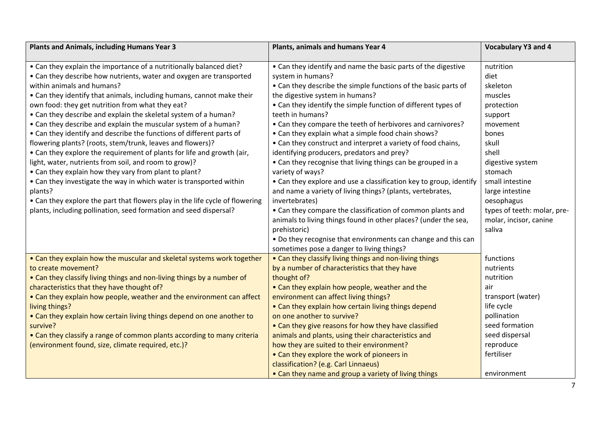| <b>Plants and Animals, including Humans Year 3</b>                           | Plants, animals and humans Year 4                                  | <b>Vocabulary Y3 and 4</b>  |
|------------------------------------------------------------------------------|--------------------------------------------------------------------|-----------------------------|
| • Can they explain the importance of a nutritionally balanced diet?          | • Can they identify and name the basic parts of the digestive      | nutrition                   |
| • Can they describe how nutrients, water and oxygen are transported          | system in humans?                                                  | diet                        |
| within animals and humans?                                                   | • Can they describe the simple functions of the basic parts of     | skeleton                    |
| • Can they identify that animals, including humans, cannot make their        | the digestive system in humans?                                    | muscles                     |
| own food: they get nutrition from what they eat?                             | • Can they identify the simple function of different types of      | protection                  |
| • Can they describe and explain the skeletal system of a human?              | teeth in humans?                                                   | support                     |
| • Can they describe and explain the muscular system of a human?              | • Can they compare the teeth of herbivores and carnivores?         | movement                    |
| • Can they identify and describe the functions of different parts of         | • Can they explain what a simple food chain shows?                 | bones                       |
| flowering plants? (roots, stem/trunk, leaves and flowers)?                   | • Can they construct and interpret a variety of food chains,       | skull                       |
| • Can they explore the requirement of plants for life and growth (air,       | identifying producers, predators and prey?                         | shell                       |
| light, water, nutrients from soil, and room to grow)?                        | • Can they recognise that living things can be grouped in a        | digestive system            |
| • Can they explain how they vary from plant to plant?                        | variety of ways?                                                   | stomach                     |
| • Can they investigate the way in which water is transported within          | • Can they explore and use a classification key to group, identify | small intestine             |
| plants?                                                                      | and name a variety of living things? (plants, vertebrates,         | large intestine             |
| • Can they explore the part that flowers play in the life cycle of flowering | invertebrates)                                                     | oesophagus                  |
| plants, including pollination, seed formation and seed dispersal?            | • Can they compare the classification of common plants and         | types of teeth: molar, pre- |
|                                                                              | animals to living things found in other places? (under the sea,    | molar, incisor, canine      |
|                                                                              | prehistoric)                                                       | saliva                      |
|                                                                              | . Do they recognise that environments can change and this can      |                             |
|                                                                              | sometimes pose a danger to living things?                          |                             |
| • Can they explain how the muscular and skeletal systems work together       | • Can they classify living things and non-living things            | functions                   |
| to create movement?                                                          | by a number of characteristics that they have                      | nutrients                   |
| • Can they classify living things and non-living things by a number of       | thought of?                                                        | nutrition                   |
| characteristics that they have thought of?                                   | • Can they explain how people, weather and the                     | air                         |
| • Can they explain how people, weather and the environment can affect        | environment can affect living things?                              | transport (water)           |
| living things?                                                               | • Can they explain how certain living things depend                | life cycle                  |
| • Can they explain how certain living things depend on one another to        | on one another to survive?                                         | pollination                 |
| survive?                                                                     | • Can they give reasons for how they have classified               | seed formation              |
| • Can they classify a range of common plants according to many criteria      | animals and plants, using their characteristics and                | seed dispersal              |
| (environment found, size, climate required, etc.)?                           | how they are suited to their environment?                          | reproduce                   |
|                                                                              | • Can they explore the work of pioneers in                         | fertiliser                  |
|                                                                              | classification? (e.g. Carl Linnaeus)                               |                             |
|                                                                              | • Can they name and group a variety of living things               | environment                 |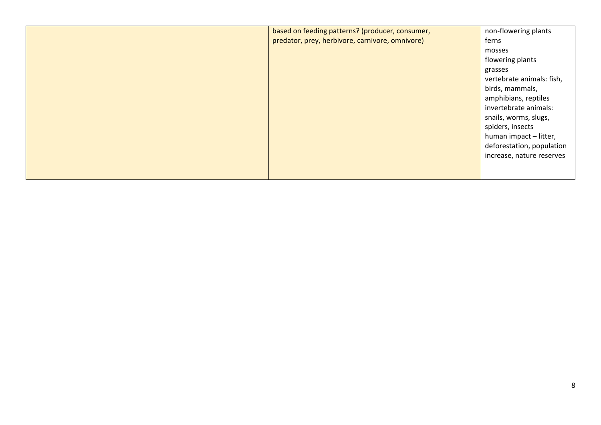| based on feeding patterns? (producer, consumer, | non-flowering plants      |
|-------------------------------------------------|---------------------------|
| predator, prey, herbivore, carnivore, omnivore) | ferns                     |
|                                                 | mosses                    |
|                                                 | flowering plants          |
|                                                 | grasses                   |
|                                                 | vertebrate animals: fish, |
|                                                 | birds, mammals,           |
|                                                 | amphibians, reptiles      |
|                                                 | invertebrate animals:     |
|                                                 | snails, worms, slugs,     |
|                                                 | spiders, insects          |
|                                                 | human impact - litter,    |
|                                                 | deforestation, population |
|                                                 | increase, nature reserves |
|                                                 |                           |
|                                                 |                           |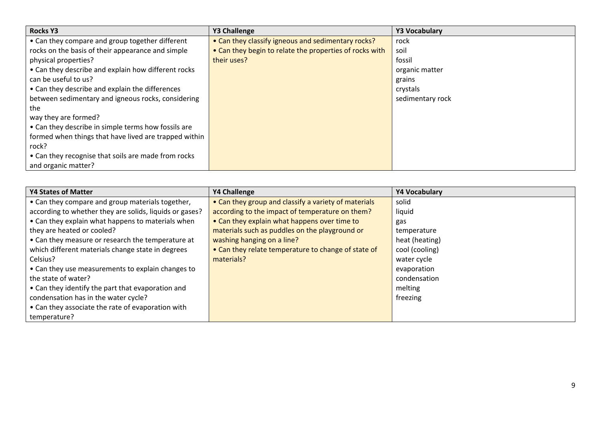| <b>Rocks Y3</b>                                       | <b>Y3 Challenge</b>                                     | <b>Y3 Vocabulary</b> |
|-------------------------------------------------------|---------------------------------------------------------|----------------------|
| • Can they compare and group together different       | • Can they classify igneous and sedimentary rocks?      | rock                 |
| rocks on the basis of their appearance and simple     | • Can they begin to relate the properties of rocks with | soil                 |
| physical properties?                                  | their uses?                                             | fossil               |
| • Can they describe and explain how different rocks   |                                                         | organic matter       |
| can be useful to us?                                  |                                                         | grains               |
| • Can they describe and explain the differences       |                                                         | crystals             |
| between sedimentary and igneous rocks, considering    |                                                         | sedimentary rock     |
| the                                                   |                                                         |                      |
| way they are formed?                                  |                                                         |                      |
| • Can they describe in simple terms how fossils are   |                                                         |                      |
| formed when things that have lived are trapped within |                                                         |                      |
| rock?                                                 |                                                         |                      |
| • Can they recognise that soils are made from rocks   |                                                         |                      |
| and organic matter?                                   |                                                         |                      |

| <b>Y4 States of Matter</b>                              | <b>Y4 Challenge</b>                                  | Y4 Vocabulary  |
|---------------------------------------------------------|------------------------------------------------------|----------------|
| • Can they compare and group materials together,        | • Can they group and classify a variety of materials | solid          |
| according to whether they are solids, liquids or gases? | according to the impact of temperature on them?      | liquid         |
| • Can they explain what happens to materials when       | • Can they explain what happens over time to         | gas            |
| they are heated or cooled?                              | materials such as puddles on the playground or       | temperature    |
| • Can they measure or research the temperature at       | washing hanging on a line?                           | heat (heating) |
| which different materials change state in degrees       | • Can they relate temperature to change of state of  | cool (cooling) |
| Celsius?                                                | materials?                                           | water cycle    |
| • Can they use measurements to explain changes to       |                                                      | evaporation    |
| the state of water?                                     |                                                      | condensation   |
| • Can they identify the part that evaporation and       |                                                      | melting        |
| condensation has in the water cycle?                    |                                                      | freezing       |
| • Can they associate the rate of evaporation with       |                                                      |                |
| temperature?                                            |                                                      |                |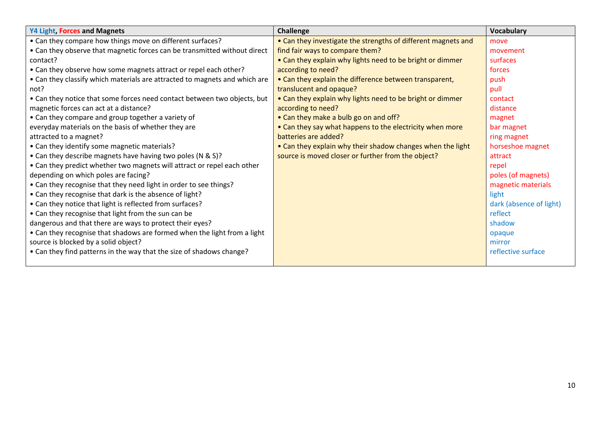| Y4 Light, Forces and Magnets                                               | Challenge                                                     | <b>Vocabulary</b>       |
|----------------------------------------------------------------------------|---------------------------------------------------------------|-------------------------|
| • Can they compare how things move on different surfaces?                  | • Can they investigate the strengths of different magnets and | move                    |
| • Can they observe that magnetic forces can be transmitted without direct  | find fair ways to compare them?                               | movement                |
| contact?                                                                   | • Can they explain why lights need to be bright or dimmer     | surfaces                |
| • Can they observe how some magnets attract or repel each other?           | according to need?                                            | forces                  |
| • Can they classify which materials are attracted to magnets and which are | • Can they explain the difference between transparent,        | push                    |
| not?                                                                       | translucent and opaque?                                       | pull                    |
| • Can they notice that some forces need contact between two objects, but   | • Can they explain why lights need to be bright or dimmer     | contact                 |
| magnetic forces can act at a distance?                                     | according to need?                                            | distance                |
| • Can they compare and group together a variety of                         | • Can they make a bulb go on and off?                         | magnet                  |
| everyday materials on the basis of whether they are                        | • Can they say what happens to the electricity when more      | bar magnet              |
| attracted to a magnet?                                                     | batteries are added?                                          | ring magnet             |
| • Can they identify some magnetic materials?                               | • Can they explain why their shadow changes when the light    | horseshoe magnet        |
| • Can they describe magnets have having two poles (N & S)?                 | source is moved closer or further from the object?            | attract                 |
| • Can they predict whether two magnets will attract or repel each other    |                                                               | repel                   |
| depending on which poles are facing?                                       |                                                               | poles (of magnets)      |
| • Can they recognise that they need light in order to see things?          |                                                               | magnetic materials      |
| • Can they recognise that dark is the absence of light?                    |                                                               | light                   |
| • Can they notice that light is reflected from surfaces?                   |                                                               | dark (absence of light) |
| • Can they recognise that light from the sun can be                        |                                                               | reflect                 |
| dangerous and that there are ways to protect their eyes?                   |                                                               | shadow                  |
| • Can they recognise that shadows are formed when the light from a light   |                                                               | opaque                  |
| source is blocked by a solid object?                                       |                                                               | mirror                  |
| • Can they find patterns in the way that the size of shadows change?       |                                                               | reflective surface      |
|                                                                            |                                                               |                         |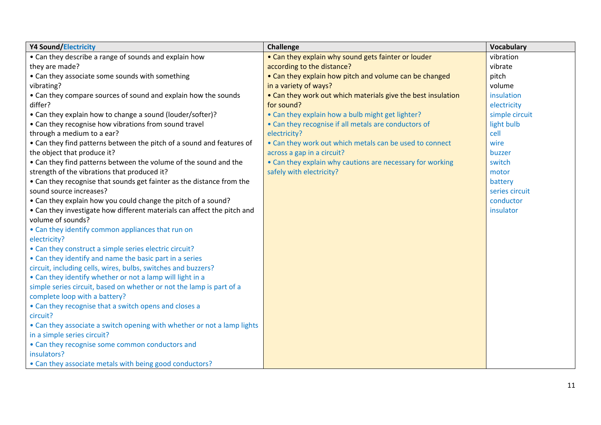| <b>Y4 Sound/Electricity</b>                                             | <b>Challenge</b>                                             | <b>Vocabulary</b> |
|-------------------------------------------------------------------------|--------------------------------------------------------------|-------------------|
| • Can they describe a range of sounds and explain how                   | • Can they explain why sound gets fainter or louder          | vibration         |
| they are made?                                                          | according to the distance?                                   | vibrate           |
| • Can they associate some sounds with something                         | • Can they explain how pitch and volume can be changed       | pitch             |
| vibrating?                                                              | in a variety of ways?                                        | volume            |
| • Can they compare sources of sound and explain how the sounds          | • Can they work out which materials give the best insulation | insulation        |
| differ?                                                                 | for sound?                                                   | electricity       |
| • Can they explain how to change a sound (louder/softer)?               | • Can they explain how a bulb might get lighter?             | simple circuit    |
| • Can they recognise how vibrations from sound travel                   | • Can they recognise if all metals are conductors of         | light bulb        |
| through a medium to a ear?                                              | electricity?                                                 | cell              |
| • Can they find patterns between the pitch of a sound and features of   | • Can they work out which metals can be used to connect      | wire              |
| the object that produce it?                                             | across a gap in a circuit?                                   | buzzer            |
| • Can they find patterns between the volume of the sound and the        | • Can they explain why cautions are necessary for working    | switch            |
| strength of the vibrations that produced it?                            | safely with electricity?                                     | motor             |
| • Can they recognise that sounds get fainter as the distance from the   |                                                              | battery           |
| sound source increases?                                                 |                                                              | series circuit    |
| • Can they explain how you could change the pitch of a sound?           |                                                              | conductor         |
| • Can they investigate how different materials can affect the pitch and |                                                              | insulator         |
| volume of sounds?                                                       |                                                              |                   |
| • Can they identify common appliances that run on                       |                                                              |                   |
| electricity?                                                            |                                                              |                   |
| • Can they construct a simple series electric circuit?                  |                                                              |                   |
| • Can they identify and name the basic part in a series                 |                                                              |                   |
| circuit, including cells, wires, bulbs, switches and buzzers?           |                                                              |                   |
| • Can they identify whether or not a lamp will light in a               |                                                              |                   |
| simple series circuit, based on whether or not the lamp is part of a    |                                                              |                   |
| complete loop with a battery?                                           |                                                              |                   |
| • Can they recognise that a switch opens and closes a                   |                                                              |                   |
| circuit?                                                                |                                                              |                   |
| • Can they associate a switch opening with whether or not a lamp lights |                                                              |                   |
| in a simple series circuit?                                             |                                                              |                   |
| • Can they recognise some common conductors and                         |                                                              |                   |
| insulators?                                                             |                                                              |                   |
| • Can they associate metals with being good conductors?                 |                                                              |                   |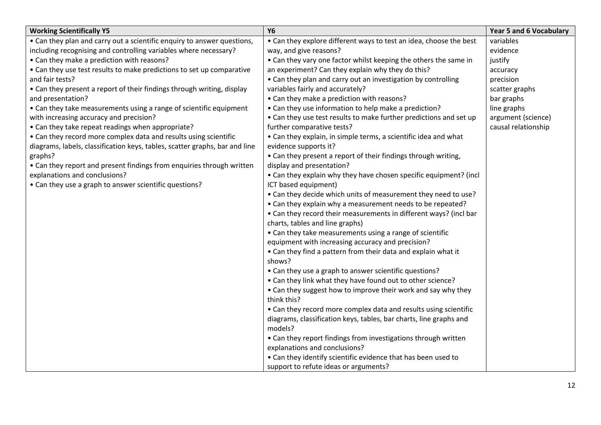| <b>Working Scientifically Y5</b>                                            | <b>Y6</b>                                                                    | <b>Year 5 and 6 Vocabulary</b> |
|-----------------------------------------------------------------------------|------------------------------------------------------------------------------|--------------------------------|
| • Can they plan and carry out a scientific enquiry to answer questions,     | • Can they explore different ways to test an idea, choose the best           | variables                      |
| including recognising and controlling variables where necessary?            | way, and give reasons?                                                       | evidence                       |
| • Can they make a prediction with reasons?                                  | • Can they vary one factor whilst keeping the others the same in             | justify                        |
| • Can they use test results to make predictions to set up comparative       | an experiment? Can they explain why they do this?                            | accuracy                       |
| and fair tests?                                                             | • Can they plan and carry out an investigation by controlling                | precision                      |
| • Can they present a report of their findings through writing, display      | variables fairly and accurately?                                             | scatter graphs                 |
| and presentation?                                                           | • Can they make a prediction with reasons?                                   | bar graphs                     |
| • Can they take measurements using a range of scientific equipment          | • Can they use information to help make a prediction?                        | line graphs                    |
| with increasing accuracy and precision?                                     | • Can they use test results to make further predictions and set up           | argument (science)             |
| • Can they take repeat readings when appropriate?                           | further comparative tests?                                                   | causal relationship            |
| • Can they record more complex data and results using scientific            | • Can they explain, in simple terms, a scientific idea and what              |                                |
| diagrams, labels, classification keys, tables, scatter graphs, bar and line | evidence supports it?                                                        |                                |
| graphs?                                                                     | • Can they present a report of their findings through writing,               |                                |
| • Can they report and present findings from enquiries through written       | display and presentation?                                                    |                                |
| explanations and conclusions?                                               | • Can they explain why they have chosen specific equipment? (incl            |                                |
| • Can they use a graph to answer scientific questions?                      | ICT based equipment)                                                         |                                |
|                                                                             | • Can they decide which units of measurement they need to use?               |                                |
|                                                                             | • Can they explain why a measurement needs to be repeated?                   |                                |
|                                                                             | • Can they record their measurements in different ways? (incl bar            |                                |
|                                                                             | charts, tables and line graphs)                                              |                                |
|                                                                             | • Can they take measurements using a range of scientific                     |                                |
|                                                                             | equipment with increasing accuracy and precision?                            |                                |
|                                                                             | • Can they find a pattern from their data and explain what it                |                                |
|                                                                             | shows?                                                                       |                                |
|                                                                             | • Can they use a graph to answer scientific questions?                       |                                |
|                                                                             | • Can they link what they have found out to other science?                   |                                |
|                                                                             | • Can they suggest how to improve their work and say why they<br>think this? |                                |
|                                                                             | • Can they record more complex data and results using scientific             |                                |
|                                                                             | diagrams, classification keys, tables, bar charts, line graphs and           |                                |
|                                                                             | models?                                                                      |                                |
|                                                                             | • Can they report findings from investigations through written               |                                |
|                                                                             | explanations and conclusions?                                                |                                |
|                                                                             | • Can they identify scientific evidence that has been used to                |                                |
|                                                                             | support to refute ideas or arguments?                                        |                                |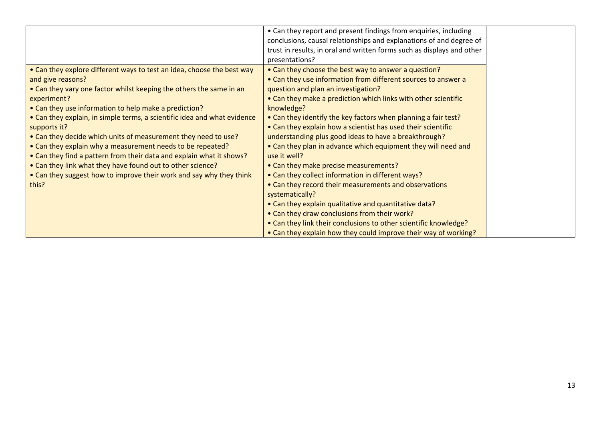|                                                                          | • Can they report and present findings from enquiries, including       |
|--------------------------------------------------------------------------|------------------------------------------------------------------------|
|                                                                          | conclusions, causal relationships and explanations of and degree of    |
|                                                                          | trust in results, in oral and written forms such as displays and other |
|                                                                          | presentations?                                                         |
| • Can they explore different ways to test an idea, choose the best way   | • Can they choose the best way to answer a question?                   |
| and give reasons?                                                        | • Can they use information from different sources to answer a          |
| • Can they vary one factor whilst keeping the others the same in an      | question and plan an investigation?                                    |
| experiment?                                                              | • Can they make a prediction which links with other scientific         |
| • Can they use information to help make a prediction?                    | knowledge?                                                             |
| • Can they explain, in simple terms, a scientific idea and what evidence | • Can they identify the key factors when planning a fair test?         |
| supports it?                                                             | • Can they explain how a scientist has used their scientific           |
| • Can they decide which units of measurement they need to use?           | understanding plus good ideas to have a breakthrough?                  |
| • Can they explain why a measurement needs to be repeated?               | • Can they plan in advance which equipment they will need and          |
| • Can they find a pattern from their data and explain what it shows?     | use it well?                                                           |
| • Can they link what they have found out to other science?               | • Can they make precise measurements?                                  |
| • Can they suggest how to improve their work and say why they think      | • Can they collect information in different ways?                      |
| this?                                                                    | • Can they record their measurements and observations                  |
|                                                                          | systematically?                                                        |
|                                                                          | • Can they explain qualitative and quantitative data?                  |
|                                                                          | • Can they draw conclusions from their work?                           |
|                                                                          | • Can they link their conclusions to other scientific knowledge?       |
|                                                                          | • Can they explain how they could improve their way of working?        |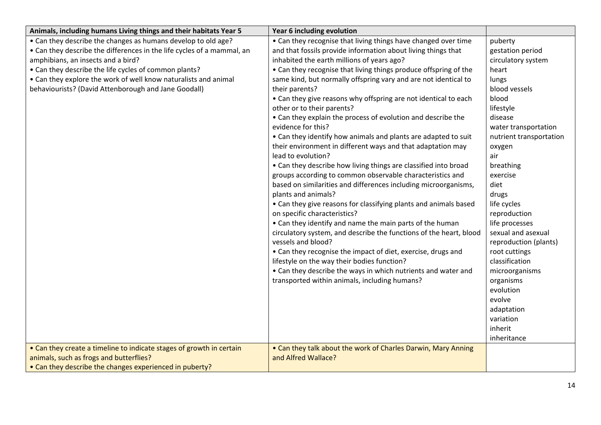| Animals, including humans Living things and their habitats Year 5      | Year 6 including evolution                                         |                         |
|------------------------------------------------------------------------|--------------------------------------------------------------------|-------------------------|
| • Can they describe the changes as humans develop to old age?          | • Can they recognise that living things have changed over time     | puberty                 |
| • Can they describe the differences in the life cycles of a mammal, an | and that fossils provide information about living things that      | gestation period        |
| amphibians, an insects and a bird?                                     | inhabited the earth millions of years ago?                         | circulatory system      |
| • Can they describe the life cycles of common plants?                  | • Can they recognise that living things produce offspring of the   | heart                   |
| • Can they explore the work of well know naturalists and animal        | same kind, but normally offspring vary and are not identical to    | lungs                   |
| behaviourists? (David Attenborough and Jane Goodall)                   | their parents?                                                     | blood vessels           |
|                                                                        | • Can they give reasons why offspring are not identical to each    | blood                   |
|                                                                        | other or to their parents?                                         | lifestyle               |
|                                                                        | • Can they explain the process of evolution and describe the       | disease                 |
|                                                                        | evidence for this?                                                 | water transportation    |
|                                                                        | • Can they identify how animals and plants are adapted to suit     | nutrient transportation |
|                                                                        | their environment in different ways and that adaptation may        | oxygen                  |
|                                                                        | lead to evolution?                                                 | air                     |
|                                                                        | • Can they describe how living things are classified into broad    | breathing               |
|                                                                        | groups according to common observable characteristics and          | exercise                |
|                                                                        | based on similarities and differences including microorganisms,    | diet                    |
|                                                                        | plants and animals?                                                | drugs                   |
|                                                                        | • Can they give reasons for classifying plants and animals based   | life cycles             |
|                                                                        | on specific characteristics?                                       | reproduction            |
|                                                                        | • Can they identify and name the main parts of the human           | life processes          |
|                                                                        | circulatory system, and describe the functions of the heart, blood | sexual and asexual      |
|                                                                        | vessels and blood?                                                 | reproduction (plants)   |
|                                                                        | • Can they recognise the impact of diet, exercise, drugs and       | root cuttings           |
|                                                                        | lifestyle on the way their bodies function?                        | classification          |
|                                                                        | • Can they describe the ways in which nutrients and water and      | microorganisms          |
|                                                                        | transported within animals, including humans?                      | organisms               |
|                                                                        |                                                                    | evolution               |
|                                                                        |                                                                    | evolve                  |
|                                                                        |                                                                    | adaptation              |
|                                                                        |                                                                    | variation               |
|                                                                        |                                                                    | inherit                 |
|                                                                        |                                                                    | inheritance             |
| • Can they create a timeline to indicate stages of growth in certain   | • Can they talk about the work of Charles Darwin, Mary Anning      |                         |
| animals, such as frogs and butterflies?                                | and Alfred Wallace?                                                |                         |
| • Can they describe the changes experienced in puberty?                |                                                                    |                         |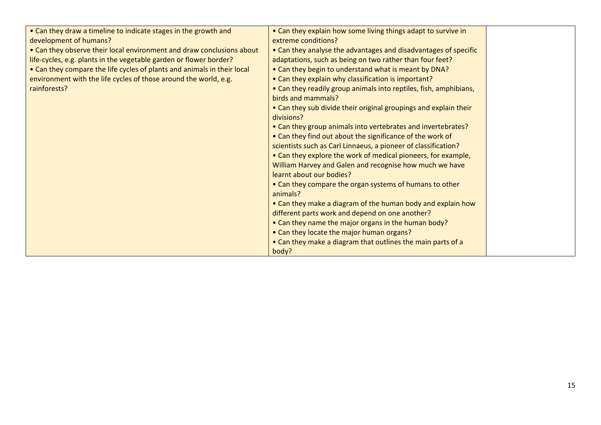| • Can they draw a timeline to indicate stages in the growth and         | • Can they explain how some living things adapt to survive in     |                     |
|-------------------------------------------------------------------------|-------------------------------------------------------------------|---------------------|
|                                                                         |                                                                   |                     |
| • Can they observe their local environment and draw conclusions about   | • Can they analyse the advantages and disadvantages of specific   |                     |
| life-cycles, e.g. plants in the vegetable garden or flower border?      | adaptations, such as being on two rather than four feet?          |                     |
| • Can they compare the life cycles of plants and animals in their local | • Can they begin to understand what is meant by DNA?              |                     |
| environment with the life cycles of those around the world, e.g.        | • Can they explain why classification is important?               |                     |
| rainforests?                                                            | • Can they readily group animals into reptiles, fish, amphibians, |                     |
|                                                                         | birds and mammals?                                                |                     |
|                                                                         | • Can they sub divide their original groupings and explain their  |                     |
|                                                                         | divisions?                                                        |                     |
|                                                                         | • Can they group animals into vertebrates and invertebrates?      |                     |
|                                                                         | • Can they find out about the significance of the work of         |                     |
|                                                                         | scientists such as Carl Linnaeus, a pioneer of classification?    |                     |
|                                                                         | • Can they explore the work of medical pioneers, for example,     |                     |
|                                                                         | William Harvey and Galen and recognise how much we have           |                     |
|                                                                         | learnt about our bodies?                                          |                     |
|                                                                         | • Can they compare the organ systems of humans to other           |                     |
|                                                                         | animals?                                                          |                     |
|                                                                         | • Can they make a diagram of the human body and explain how       |                     |
|                                                                         | different parts work and depend on one another?                   |                     |
|                                                                         | • Can they name the major organs in the human body?               |                     |
|                                                                         | • Can they locate the major human organs?                         |                     |
|                                                                         | • Can they make a diagram that outlines the main parts of a       |                     |
|                                                                         | body?                                                             |                     |
|                                                                         | development of humans?                                            | extreme conditions? |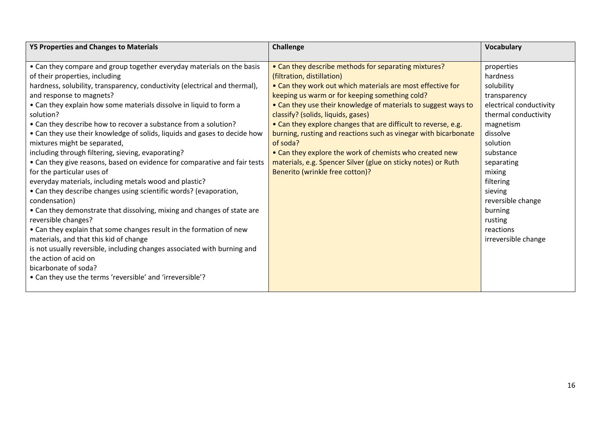| <b>Y5 Properties and Changes to Materials</b>                                                                                                                                                                                                                                                                                                                                                                                                                                                                                                                                                                                                                                                                                                                                                                                                                                                                                                                                                                                                                                                                                                                                                                                  | Challenge                                                                                                                                                                                                                                                                                                                                                                                                                                                                                                                                                                                                      | <b>Vocabulary</b>                                                                                                                                                                                                                                                                        |
|--------------------------------------------------------------------------------------------------------------------------------------------------------------------------------------------------------------------------------------------------------------------------------------------------------------------------------------------------------------------------------------------------------------------------------------------------------------------------------------------------------------------------------------------------------------------------------------------------------------------------------------------------------------------------------------------------------------------------------------------------------------------------------------------------------------------------------------------------------------------------------------------------------------------------------------------------------------------------------------------------------------------------------------------------------------------------------------------------------------------------------------------------------------------------------------------------------------------------------|----------------------------------------------------------------------------------------------------------------------------------------------------------------------------------------------------------------------------------------------------------------------------------------------------------------------------------------------------------------------------------------------------------------------------------------------------------------------------------------------------------------------------------------------------------------------------------------------------------------|------------------------------------------------------------------------------------------------------------------------------------------------------------------------------------------------------------------------------------------------------------------------------------------|
| • Can they compare and group together everyday materials on the basis<br>of their properties, including<br>hardness, solubility, transparency, conductivity (electrical and thermal),<br>and response to magnets?<br>• Can they explain how some materials dissolve in liquid to form a<br>solution?<br>• Can they describe how to recover a substance from a solution?<br>• Can they use their knowledge of solids, liquids and gases to decide how<br>mixtures might be separated,<br>of soda?<br>including through filtering, sieving, evaporating?<br>• Can they give reasons, based on evidence for comparative and fair tests<br>for the particular uses of<br>everyday materials, including metals wood and plastic?<br>• Can they describe changes using scientific words? (evaporation,<br>condensation)<br>• Can they demonstrate that dissolving, mixing and changes of state are<br>reversible changes?<br>• Can they explain that some changes result in the formation of new<br>materials, and that this kid of change<br>is not usually reversible, including changes associated with burning and<br>the action of acid on<br>bicarbonate of soda?<br>• Can they use the terms 'reversible' and 'irreversible'? | • Can they describe methods for separating mixtures?<br>(filtration, distillation)<br>• Can they work out which materials are most effective for<br>keeping us warm or for keeping something cold?<br>• Can they use their knowledge of materials to suggest ways to<br>classify? (solids, liquids, gases)<br>• Can they explore changes that are difficult to reverse, e.g.<br>burning, rusting and reactions such as vinegar with bicarbonate<br>• Can they explore the work of chemists who created new<br>materials, e.g. Spencer Silver (glue on sticky notes) or Ruth<br>Benerito (wrinkle free cotton)? | properties<br>hardness<br>solubility<br>transparency<br>electrical conductivity<br>thermal conductivity<br>magnetism<br>dissolve<br>solution<br>substance<br>separating<br>mixing<br>filtering<br>sieving<br>reversible change<br>burning<br>rusting<br>reactions<br>irreversible change |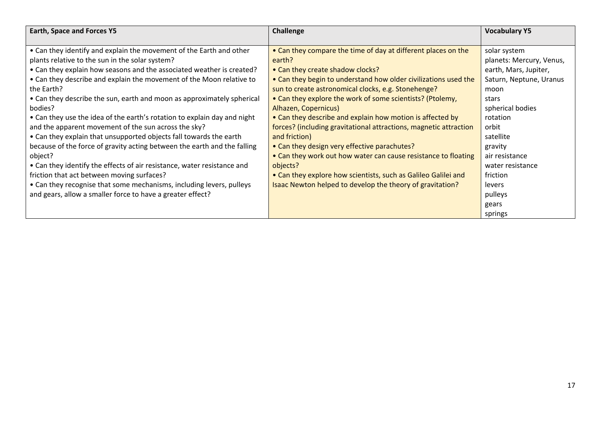| <b>Earth, Space and Forces Y5</b>                                        | Challenge                                                         | <b>Vocabulary Y5</b>     |
|--------------------------------------------------------------------------|-------------------------------------------------------------------|--------------------------|
|                                                                          |                                                                   |                          |
| • Can they identify and explain the movement of the Earth and other      | • Can they compare the time of day at different places on the     | solar system             |
| plants relative to the sun in the solar system?                          | earth?                                                            | planets: Mercury, Venus, |
| • Can they explain how seasons and the associated weather is created?    | • Can they create shadow clocks?                                  | earth, Mars, Jupiter,    |
| • Can they describe and explain the movement of the Moon relative to     | • Can they begin to understand how older civilizations used the   | Saturn, Neptune, Uranus  |
| the Earth?                                                               | sun to create astronomical clocks, e.g. Stonehenge?               | moon                     |
| • Can they describe the sun, earth and moon as approximately spherical   | • Can they explore the work of some scientists? (Ptolemy,         | stars                    |
| bodies?                                                                  | Alhazen, Copernicus)                                              | spherical bodies         |
| • Can they use the idea of the earth's rotation to explain day and night | • Can they describe and explain how motion is affected by         | rotation                 |
| and the apparent movement of the sun across the sky?                     | forces? (including gravitational attractions, magnetic attraction | orbit                    |
| • Can they explain that unsupported objects fall towards the earth       | and friction)                                                     | satellite                |
| because of the force of gravity acting between the earth and the falling | • Can they design very effective parachutes?                      | gravity                  |
| object?                                                                  | • Can they work out how water can cause resistance to floating    | air resistance           |
| • Can they identify the effects of air resistance, water resistance and  | objects?                                                          | water resistance         |
| friction that act between moving surfaces?                               | • Can they explore how scientists, such as Galileo Galilei and    | friction                 |
| • Can they recognise that some mechanisms, including levers, pulleys     | Isaac Newton helped to develop the theory of gravitation?         | levers                   |
| and gears, allow a smaller force to have a greater effect?               |                                                                   | pulleys                  |
|                                                                          |                                                                   | gears                    |
|                                                                          |                                                                   | springs                  |